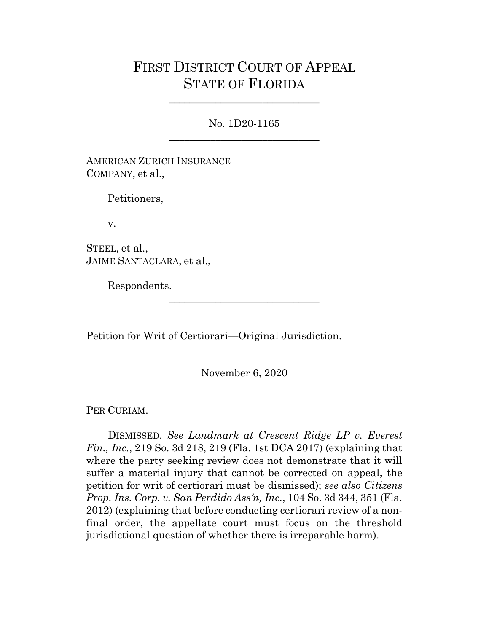## FIRST DISTRICT COURT OF APPEAL STATE OF FLORIDA

No. 1D20-1165 \_\_\_\_\_\_\_\_\_\_\_\_\_\_\_\_\_\_\_\_\_\_\_\_\_\_\_\_\_

\_\_\_\_\_\_\_\_\_\_\_\_\_\_\_\_\_\_\_\_\_\_\_\_\_\_\_\_\_

AMERICAN ZURICH INSURANCE COMPANY, et al.,

Petitioners,

v.

STEEL, et al., JAIME SANTACLARA, et al.,

Respondents.

Petition for Writ of Certiorari—Original Jurisdiction.

November 6, 2020

\_\_\_\_\_\_\_\_\_\_\_\_\_\_\_\_\_\_\_\_\_\_\_\_\_\_\_\_\_

PER CURIAM.

DISMISSED. *See Landmark at Crescent Ridge LP v. Everest Fin., Inc.*, 219 So. 3d 218, 219 (Fla. 1st DCA 2017) (explaining that where the party seeking review does not demonstrate that it will suffer a material injury that cannot be corrected on appeal, the petition for writ of certiorari must be dismissed); *see also Citizens Prop. Ins. Corp. v. San Perdido Ass'n, Inc.*, 104 So. 3d 344, 351 (Fla. 2012) (explaining that before conducting certiorari review of a nonfinal order, the appellate court must focus on the threshold jurisdictional question of whether there is irreparable harm).